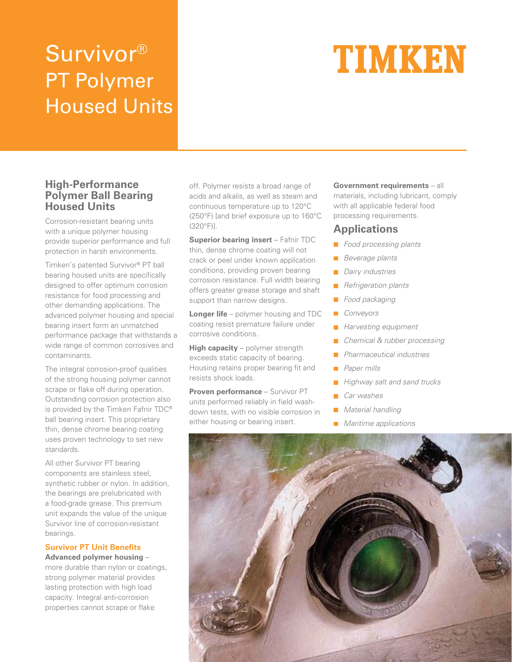# Survivor® PT Polymer Housed Units

# TIMKEN

### **High-Performance Polymer Ball Bearing Housed Units**

Corrosion-resistant bearing units with a unique polymer housing provide superior performance and full protection in harsh environments.

Timken's patented Survivor® PT ball bearing housed units are specifically designed to offer optimum corrosion resistance for food processing and other demanding applications. The advanced polymer housing and special bearing insert form an unmatched performance package that withstands a wide range of common corrosives and contaminants.

The integral corrosion-proof qualities of the strong housing polymer cannot scrape or flake off during operation. Outstanding corrosion protection also is provided by the Timken Fafnir TDC® ball bearing insert. This proprietary thin, dense chrome bearing coating uses proven technology to set new standards.

All other Survivor PT bearing components are stainless steel, synthetic rubber or nylon. In addition, the bearings are prelubricated with a food-grade grease. This premium unit expands the value of the unique Survivor line of corrosion-resistant bearings.

## **Survivor PT Unit Benefits**

**Advanced polymer housing** – more durable than nylon or coatings, strong polymer material provides lasting protection with high load capacity. Integral anti-corrosion properties cannot scrape or flake

off. Polymer resists a broad range of acids and alkalis, as well as steam and continuous temperature up to 120°C (250°F) [and brief exposure up to 160°C (320°F)].

**Superior bearing insert** – Fafnir TDC thin, dense chrome coating will not crack or peel under known application conditions, providing proven bearing corrosion resistance. Full width bearing offers greater grease storage and shaft support than narrow designs.

**Longer life** – polymer housing and TDC coating resist premature failure under corrosive conditions.

**High capacity** – polymer strength exceeds static capacity of bearing. Housing retains proper bearing fit and resists shock loads.

**Proven performance** – Survivor PT units performed reliably in field washdown tests, with no visible corrosion in either housing or bearing insert.

**Government requirements** – all materials, including lubricant, comply with all applicable federal food processing requirements.

# **Applications**

- **Food processing plants**
- Beverage plants
- Dairy industries **Tale**
- Refrigeration plants
- Food packaging
- **Conveyors**
- $\mathcal{L}_{\mathcal{A}}$ Harvesting equipment
- Chemical & rubber processing **COL**
- Pharmaceutical industries
- Paper mills
- Highway salt and sand trucks
- Car washes
- **Material handling**
- Maritime applications